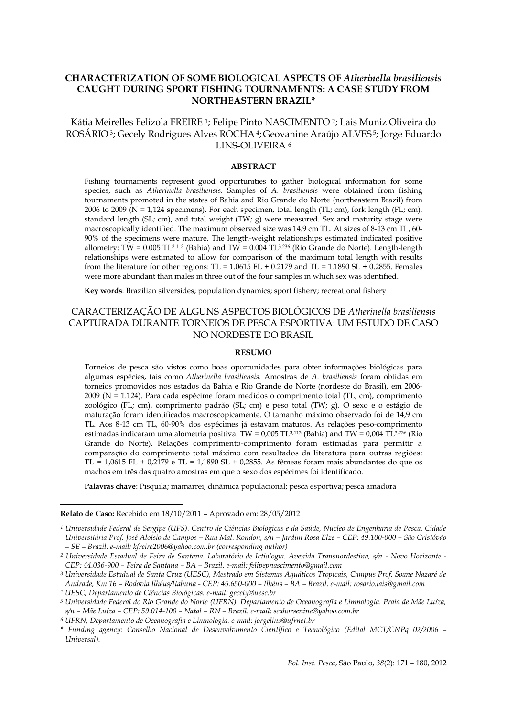# **CHARACTERIZATION OF SOME BIOLOGICAL ASPECTS OF** *Atherinella brasiliensis* **CAUGHT DURING SPORT FISHING TOURNAMENTS: A CASE STUDY FROM NORTHEASTERN BRAZIL\***

Kátia Meirelles Felizola FREIRE <sup>1</sup>; Felipe Pinto NASCIMENTO <sup>2</sup>; Lais Muniz Oliveira do ROSÁRIO <sup>3</sup>; Gecely Rodrigues Alves ROCHA <sup>4</sup>; Geovanine Araújo ALVES <sup>5</sup>; Jorge Eduardo LINS-OLIVEIRA <sup>6</sup>

## **ABSTRACT**

Fishing tournaments represent good opportunities to gather biological information for some species, such as *Atherinella brasiliensis*. Samples of *A. brasiliensis* were obtained from fishing tournaments promoted in the states of Bahia and Rio Grande do Norte (northeastern Brazil) from 2006 to 2009 ( $N = 1,124$  specimens). For each specimen, total length (TL; cm), fork length (FL; cm), standard length (SL; cm), and total weight (TW;  $g$ ) were measured. Sex and maturity stage were macroscopically identified. The maximum observed size was 14.9 cm TL. At sizes of 8-13 cm TL, 60- 90% of the specimens were mature. The length-weight relationships estimated indicated positive allometry: TW = 0.005 TL<sup>3.113</sup> (Bahia) and TW = 0.004 TL<sup>3.236</sup> (Rio Grande do Norte). Length-length relationships were estimated to allow for comparison of the maximum total length with results from the literature for other regions: TL =  $1.0615$  FL +  $0.2179$  and TL =  $1.1890$  SL +  $0.2855$ . Females were more abundant than males in three out of the four samples in which sex was identified.

**Key words**: Brazilian silversides; population dynamics; sport fishery; recreational fishery

# CARACTERIZAÇÃO DE ALGUNS ASPECTOS BIOLÓGICOS DE *Atherinella brasiliensis* CAPTURADA DURANTE TORNEIOS DE PESCA ESPORTIVA: UM ESTUDO DE CASO NO NORDESTE DO BRASIL

## **RESUMO**

Torneios de pesca são vistos como boas oportunidades para obter informações biológicas para algumas espécies, tais como *Atherinella brasiliensis*. Amostras de *A. brasiliensis* foram obtidas em torneios promovidos nos estados da Bahia e Rio Grande do Norte (nordeste do Brasil), em 2006- 2009 (N = 1.124). Para cada espécime foram medidos o comprimento total (TL; cm), comprimento zoológico (FL; cm), comprimento padrão (SL; cm) e peso total (TW; g). O sexo e o estágio de maturação foram identificados macroscopicamente. O tamanho máximo observado foi de 14,9 cm TL. Aos 8-13 cm TL, 60-90% dos espécimes já estavam maturos. As relações peso-comprimento estimadas indicaram uma alometria positiva: TW = 0,005 TL $^{3,113}$  (Bahia) and TW = 0,004 TL $^{3,236}$  (Rio Grande do Norte). Relações comprimento-comprimento foram estimadas para permitir a comparação do comprimento total máximo com resultados da literatura para outras regiões: TL =  $1,0615$  FL +  $0,2179$  e TL =  $1,1890$  SL + 0,2855. As fêmeas foram mais abundantes do que os machos em três das quatro amostras em que o sexo dos espécimes foi identificado.

**Palavras chave**: Pisquila; mamarrei; dinâmica populacional; pesca esportiva; pesca amadora

l

**Relato de Caso:** Recebido em 18/10/2011 – Aprovado em: 28/05/2012

*<sup>1</sup> Universidade Federal de Sergipe (UFS). Centro de Ciências Biológicas e da Saúde, Núcleo de Engenharia de Pesca. Cidade Universitária Prof. José Aloísio de Campos – Rua Mal. Rondon, s/n – Jardim Rosa Elze – CEP: 49.100-000 – São Cristóvão – SE – Brazil. e-mail: kfreire2006@yahoo.com.br (corresponding author)*

*<sup>2</sup> Universidade Estadual de Feira de Santana. Laboratório de Ictiologia. Avenida Transnordestina, s/n - Novo Horizonte - CEP: 44.036-900 – Feira de Santana – BA – Brazil. e-mail: felipepnascimento@gmail.com*

*<sup>3</sup> Universidade Estadual de Santa Cruz (UESC), Mestrado em Sistemas Aquáticos Tropicais, Campus Prof. Soane Nazaré de Andrade, Km 16 – Rodovia Ilhéus/Itabuna - CEP: 45.650-000 – Ilhéus – BA – Brazil. e-mail: rosario.lais@gmail.com*

*<sup>4</sup> UESC, Departamento de Ciências Biológicas. e-mail: gecely@uesc.br*

*<sup>5</sup> Universidade Federal do Rio Grande do Norte (UFRN). Departamento de Oceanografia e Limnologia. Praia de Mãe Luíza, s/n – Mãe Luíza – CEP: 59.014-100 – Natal – RN – Brazil. e-mail: seahorsenine@yahoo.com.br*

*<sup>6</sup> UFRN, Departamento de Oceanografia e Limnologia. e-mail: jorgelins@ufrnet.br*

*<sup>\*</sup> Funding agency: Conselho Nacional de Desenvolvimento Científico e Tecnológico (Edital MCT/CNPq 02/2006 – Universal).*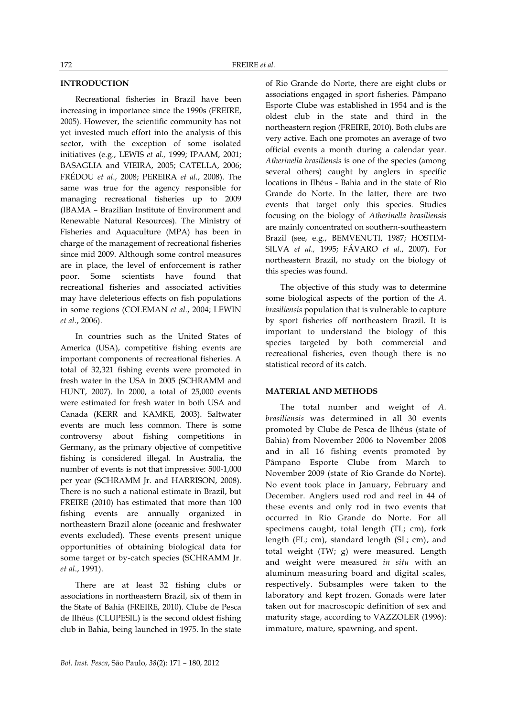# **INTRODUCTION**

Recreational fisheries in Brazil have been increasing in importance since the 1990s (FREIRE, 2005). However, the scientific community has not yet invested much effort into the analysis of this sector, with the exception of some isolated initiatives (e.g., LEWIS *et al.,* 1999; IPAAM, 2001; BASAGLIA and VIEIRA, 2005; CATELLA, 2006; FRÉDOU *et al*., 2008; PEREIRA *et al.*, 2008). The same was true for the agency responsible for managing recreational fisheries up to 2009 (IBAMA – Brazilian Institute of Environment and Renewable Natural Resources). The Ministry of Fisheries and Aquaculture (MPA) has been in charge of the management of recreational fisheries since mid 2009. Although some control measures are in place, the level of enforcement is rather poor. Some scientists have found that recreational fisheries and associated activities may have deleterious effects on fish populations in some regions (COLEMAN *et al.*, 2004; LEWIN *et al*., 2006).

In countries such as the United States of America (USA), competitive fishing events are important components of recreational fisheries. A total of 32,321 fishing events were promoted in fresh water in the USA in 2005 (SCHRAMM and HUNT, 2007). In 2000, a total of 25,000 events were estimated for fresh water in both USA and Canada (KERR and KAMKE, 2003). Saltwater events are much less common. There is some controversy about fishing competitions in Germany, as the primary objective of competitive fishing is considered illegal. In Australia, the number of events is not that impressive: 500-1,000 per year (SCHRAMM Jr. and HARRISON, 2008). There is no such a national estimate in Brazil, but FREIRE (2010) has estimated that more than 100 fishing events are annually organized in northeastern Brazil alone (oceanic and freshwater events excluded). These events present unique opportunities of obtaining biological data for some target or by-catch species (SCHRAMM Jr. *et al*., 1991).

There are at least 32 fishing clubs or associations in northeastern Brazil, six of them in the State of Bahia (FREIRE, 2010). Clube de Pesca de Ilhéus (CLUPESIL) is the second oldest fishing club in Bahia, being launched in 1975. In the state of Rio Grande do Norte, there are eight clubs or associations engaged in sport fisheries. Pâmpano Esporte Clube was established in 1954 and is the oldest club in the state and third in the northeastern region (FREIRE, 2010). Both clubs are very active. Each one promotes an average of two official events a month during a calendar year. *Atherinella brasiliensis* is one of the species (among several others) caught by anglers in specific locations in Ilhéus - Bahia and in the state of Rio Grande do Norte. In the latter, there are two events that target only this species. Studies focusing on the biology of *Atherinella brasiliensis* are mainly concentrated on southern-southeastern Brazil (see, e.g., BEMVENUTI, 1987; HOSTIM-SILVA *et al.,* 1995; FÁVARO *et al.*, 2007). For northeastern Brazil, no study on the biology of this species was found.

The objective of this study was to determine some biological aspects of the portion of the *A. brasiliensis* population that is vulnerable to capture by sport fisheries off northeastern Brazil. It is important to understand the biology of this species targeted by both commercial and recreational fisheries, even though there is no statistical record of its catch.

### **MATERIAL AND METHODS**

The total number and weight of *A. brasiliensis* was determined in all 30 events promoted by Clube de Pesca de Ilhéus (state of Bahia) from November 2006 to November 2008 and in all 16 fishing events promoted by Pâmpano Esporte Clube from March to November 2009 (state of Rio Grande do Norte). No event took place in January, February and December. Anglers used rod and reel in 44 of these events and only rod in two events that occurred in Rio Grande do Norte. For all specimens caught, total length (TL; cm), fork length (FL; cm), standard length (SL; cm), and total weight (TW; g) were measured. Length and weight were measured *in situ* with an aluminum measuring board and digital scales, respectively. Subsamples were taken to the laboratory and kept frozen. Gonads were later taken out for macroscopic definition of sex and maturity stage, according to VAZZOLER (1996): immature, mature, spawning, and spent.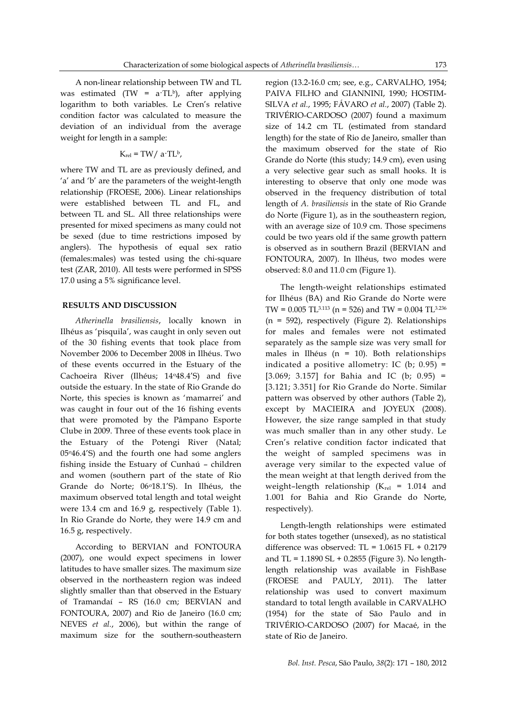A non-linear relationship between TW and TL was estimated (TW =  $a$ ·TL<sup>b</sup>), after applying logarithm to both variables. Le Cren's relative condition factor was calculated to measure the deviation of an individual from the average weight for length in a sample:

$$
K_{rel} = TW/a·TLb,
$$

where TW and TL are as previously defined, and 'a' and 'b' are the parameters of the weight-length relationship (FROESE, 2006). Linear relationships were established between TL and FL, and between TL and SL. All three relationships were presented for mixed specimens as many could not be sexed (due to time restrictions imposed by anglers). The hypothesis of equal sex ratio (females:males) was tested using the chi-square test (ZAR, 2010). All tests were performed in SPSS 17.0 using a 5% significance level.

### **RESULTS AND DISCUSSION**

*Atherinella brasiliensis*, locally known in Ilhéus as 'pisquila', was caught in only seven out of the 30 fishing events that took place from November 2006 to December 2008 in Ilhéus. Two of these events occurred in the Estuary of the Cachoeira River (Ilhéus; 14o48.4'S) and five outside the estuary. In the state of Rio Grande do Norte, this species is known as 'mamarrei' and was caught in four out of the 16 fishing events that were promoted by the Pâmpano Esporte Clube in 2009. Three of these events took place in the Estuary of the Potengi River (Natal; 05o46.4'S) and the fourth one had some anglers fishing inside the Estuary of Cunhaú – children and women (southern part of the state of Rio Grande do Norte; 06<sup>o</sup>18.1'S). In Ilhéus, the maximum observed total length and total weight were 13.4 cm and 16.9 g, respectively (Table 1). In Rio Grande do Norte, they were 14.9 cm and 16.5 g, respectively.

According to BERVIAN and FONTOURA (2007), one would expect specimens in lower latitudes to have smaller sizes. The maximum size observed in the northeastern region was indeed slightly smaller than that observed in the Estuary of Tramandaí – RS (16.0 cm; BERVIAN and FONTOURA, 2007) and Rio de Janeiro (16.0 cm; NEVES *et al.*, 2006), but within the range of maximum size for the southern-southeastern

region (13.2-16.0 cm; see, e.g., CARVALHO, 1954; PAIVA FILHO and GIANNINI, 1990; HOSTIM-SILVA *et al.*, 1995; FÁVARO *et al.*, 2007) (Table 2). TRIVÉRIO-CARDOSO (2007) found a maximum size of 14.2 cm TL (estimated from standard length) for the state of Rio de Janeiro, smaller than the maximum observed for the state of Rio Grande do Norte (this study; 14.9 cm), even using a very selective gear such as small hooks. It is interesting to observe that only one mode was observed in the frequency distribution of total length of *A. brasiliensis* in the state of Rio Grande do Norte (Figure 1), as in the southeastern region, with an average size of 10.9 cm. Those specimens could be two years old if the same growth pattern is observed as in southern Brazil (BERVIAN and FONTOURA, 2007). In Ilhéus, two modes were observed: 8.0 and 11.0 cm (Figure 1).

The length-weight relationships estimated for Ilhéus (BA) and Rio Grande do Norte were TW = 0.005 TL<sup>3.113</sup> (n = 526) and TW = 0.004 TL<sup>3.236</sup> (n = 592), respectively (Figure 2). Relationships for males and females were not estimated separately as the sample size was very small for males in Ilhéus (n = 10). Both relationships indicated a positive allometry: IC (b;  $0.95$ ) = [3.069; 3.157] for Bahia and IC (b; 0.95) = [3.121; 3.351] for Rio Grande do Norte. Similar pattern was observed by other authors (Table 2), except by MACIEIRA and JOYEUX (2008). However, the size range sampled in that study was much smaller than in any other study. Le Cren's relative condition factor indicated that the weight of sampled specimens was in average very similar to the expected value of the mean weight at that length derived from the weight-length relationship  $(K_{rel} = 1.014$  and 1.001 for Bahia and Rio Grande do Norte, respectively).

Length-length relationships were estimated for both states together (unsexed), as no statistical difference was observed: TL =  $1.0615$  FL +  $0.2179$ and TL = 1.1890 SL + 0.2855 (Figure 3). No lengthlength relationship was available in FishBase (FROESE and PAULY, 2011). The latter relationship was used to convert maximum standard to total length available in CARVALHO (1954) for the state of São Paulo and in TRIVÉRIO-CARDOSO (2007) for Macaé, in the state of Rio de Janeiro.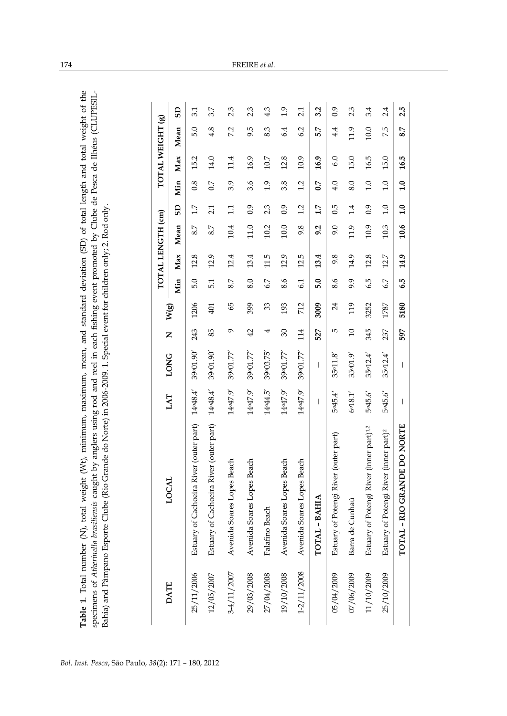Table 1. Total number (N), total weight (Wt), minimum, maximum, mean, and standard deviation (SD) of total length and total weight of the **Table 1**. Total number (N), total weight (Wt), minimum, maximum, mean, and standard deviation (SD) of total length and total weight of the specimens of Atherinella brasiliensis caught by anglers using rod and reel in each fishing event promoted by Clube de Pesca de Ilhéus (CLUPESIL-<br>Bahia) and Pâmpano Esporte Clube (Rio Grande do Norte) in 2006-2009. 1. Speci specimens of A*therinella brasiliensis* caught by anglers using rod and reel in each fishing event promoted by Clube de Pesca de Ilhéus (CLUPESIL-<br>Bahia) and Pâmpano Esporte Clube (Rio Grande do Norte) in 2006-2009. 1. Spe

|                                                         |          | <b>LONG</b> |                 |      |     |      | TOTAL LENGTH (cm) |                  |     |      | TOTAL WEIGHT (g) |                |
|---------------------------------------------------------|----------|-------------|-----------------|------|-----|------|-------------------|------------------|-----|------|------------------|----------------|
| LOCAL                                                   | LAT      |             | Z               | W(g) | Min | Max  | Mean              | $\overline{a}$   | Min | Max  | Mean             | $\overline{a}$ |
| Estuary of Cachoeira River (outer part)                 | 14°48.4' | 39°01.90    | 243             | 1206 | 5.0 | 12.8 | 8.7               | 1.7              | 0.8 | 15.2 | 5.0              | 3.1            |
| Estuary of Cachoeira River (outer part)                 | 14°48.4' | 39°01.90    | 85              | 401  | 5.1 | 12.9 | 8.7               | 2.1              | 0.7 | 14.0 | 4.8              | 3.7            |
| each<br>Avenida Soares Lopes B                          | 14°47.9  | 39001.77    | G               | 59   | 8.7 | 12.4 | 10.4              | $\overline{11}$  | 3.9 | 11.4 | 7.2              | 2.3            |
| Avenida Soares Lopes Beach                              | 14°47.9  | 39001.77    | 42              | 399  | 8.0 | 13.4 | 11.0              | $\ddot{0}$ .     | 3.6 | 16.9 | 9.5              | 23             |
| Falafino Beach                                          | 14°44.5' | 39003.75'   | 4               | 33   | 6.7 | 11.5 | 10.2              | 2.3              | 0.1 | 10.7 | 8.3              | 4.3            |
| Avenida Soares Lopes Beach                              | 14°47.9  | 39001.77"   | $\mathcal{E}$   | 193  | 8.6 | 12.9 | $10.0\,$          | 0.9              | 3.8 | 12.8 | 6.4              | 1.9            |
| Avenida Soares Lopes Beach                              | 14°47.9  | 39°01.77    | 114             | 712  | 61  | 12.5 | 9.8               | 1.2              | 1.2 | 10.9 | 6.2              | 2.1            |
| TOTAL - BAHIA                                           | I        | T           | 527             | 3009 | 5.0 | 13.4 | 9.2               | 1.7              | 0.7 | 16.9 | 5.7              | 3.2            |
| Estuary of Potengi River (outer part)                   | 5045.4'  | 35011.8     | 5               | 24   | 8.6 | 9.8  | 9.0               | $0.\overline{5}$ | 4.0 | 6.0  | 4.4              | 0.9            |
| Barra de Cunhaú                                         | 6018.1'  | 35001.9     | $\overline{10}$ | 119  | 9.9 | 14.9 | 11.9              | 1.4              | 8.0 | 15.0 | 11.9             | 2.3            |
| (inner part) <sup>1,2</sup><br>Estuary of Potengi River | 5045.6   | 35°12.4'    | 345             | 3252 | 6.5 | 12.8 | 10.9              | 0.9              | 1.0 | 16.5 | 10.0             | 3.4            |
| Estuary of Potengi River (inner part) <sup>2</sup>      | 5045.6   | 35°12.4'    | 237             | 1787 | 6.7 | 12.7 | 10.3              | 1.0              | 1.0 | 15.0 | 7.5              | 2.4            |
| TOTAL - RIO GRANDE DO NORTE                             | I        | I           | 597             | 5180 | 6.5 | 14.9 | 10.6              | 1.0              | 1.0 | 16.5 | 8.7              | 2.5            |
|                                                         |          |             |                 |      |     |      |                   |                  |     |      |                  |                |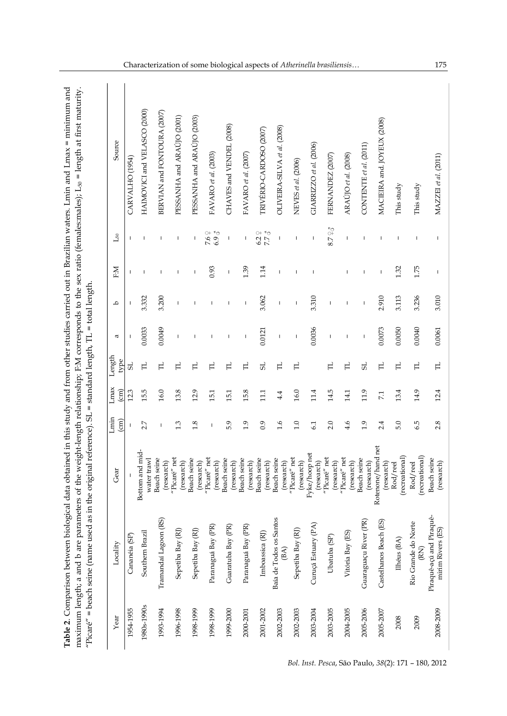| Year        | Locality                                      | Gear                             | Lmin            | Lmax<br>$\binom{cm}{2}$ | Length           | a                        | م                        | EM                       | $\mathbb{L}_{50}$                                | Source                       |
|-------------|-----------------------------------------------|----------------------------------|-----------------|-------------------------|------------------|--------------------------|--------------------------|--------------------------|--------------------------------------------------|------------------------------|
| 1954-1955   | Cananéia (SP)                                 |                                  | $\binom{cm}{2}$ | 12.3                    | type<br>5        | п                        | $\overline{\phantom{a}}$ | т                        | $\mathbf{I}$                                     | CARVALHO <sub>(1954)</sub>   |
| 1980s-1990s | Southern Brazil                               | Bottom and mid-<br>water trawl   | 2.7             | 15.5                    | $\mathbb H$      | 0.0033                   | 3.332                    |                          | J.                                               | HAIMOVICI and VELASCO (2000) |
| 1993-1994   | Tramandaí Lagoon (RS)                         | <b>Beach seine</b><br>(research) | I               | 16.0                    | $\Xi$            | 0.0049                   | 3.200                    |                          | T                                                | BERVIAN and FONTOURA (2007)  |
| 1996-1998   | Sepetiba Bay (RJ)                             | "Picaré" net<br>(research)       | 1.3             | 13.8                    | $\mathbb{H}$     | J.                       | T.                       | Т                        | $\begin{array}{c} \hline \end{array}$            | PESSANHA and ARAUJO (2001)   |
| 1998-1999   | Sepetiba Bay (RJ)                             | <b>Beach seine</b><br>(research) | 1.8             | 12.9                    | $\overline{\Pi}$ | 1                        | 1                        |                          | T                                                | PESSANHA and ARAÚJO (2003)   |
| 1998-1999   | Paranaguá Bay (PR)                            | "Picaré" net<br>(research)       | J               | 15.1                    | H                | 1                        |                          | 0.93                     | 7.6 $\div$<br>$6.9\degree$                       | FAVARO et al. (2003)         |
| 1999-2000   | Guaratuba Bay (PR)                            | Beach seine<br>(research)        | 5.9             | 15.1                    | $\mathbb H$      | J.                       | J.                       |                          | $\overline{\phantom{a}}$                         | CHAVES and VENDEL (2008)     |
| 2000-2001   | Paranaguá Bay (PR)                            | Beach seine<br>(research)        | 1.9             | 15.8                    | H                | $\overline{\phantom{a}}$ | $\overline{\phantom{a}}$ | 1.39                     | I                                                | FAVARO et al. (2007)         |
| 2001-2002   | Imboassica (RJ)                               | <b>Beach</b> seine<br>(research) | 0.9             | $\Xi$                   | 5                | 0.0121                   | 3.062                    | 1.14                     | $\begin{array}{l} 6.2 \div 5 \\ 7.7 \end{array}$ | TRIVÉRIO-CARDOSO (2007)      |
| 2002-2003   | Baía de Todos os Santos<br>(BA)               | <b>Beach seine</b><br>(research) | 1.6             | 4.4                     | H                | $\mathsf I$              | $\mathsf I$              |                          | T                                                | OLIVEIRA-SILVA et al. (2008) |
| 2002-2003   | Sepetiba Bay (RJ)                             | "Picaré" net<br>(research)       | $1.0\,$         | 16.0                    | 口                | $\overline{\phantom{a}}$ | I                        |                          | T                                                | NEVES et al. (2006)          |
| 2003-2004   | Curuçá Estuary (PA)                           | Fyke/hoop net<br>(research)      | 6.1             | 11.4                    |                  | 0.0036                   | 3.310                    |                          | $\overline{\phantom{a}}$                         | GIARRIZZO et al. (2006)      |
| 2003-2005   | Ubatuba (SP)                                  | "Picaré" net<br>(research)       | 2.0             | 14.5                    | H                | $\overline{\phantom{a}}$ | $\overline{\phantom{a}}$ |                          | $8.7\degree$ 3                                   | FERNANDEZ (2007)             |
| 2004-2005   | Vitória Bay (ES)                              | "Picaré" net<br>(research)       | 4.6             | 14.1                    | H                | I                        | T                        |                          | T                                                | ARAÚJO et al. (2008)         |
| 2005-2006   | Guaraguaçu River (PR)                         | <b>Beach</b> seine<br>(research  | 1.9             | 11.9                    | 5                | $\mathsf I$              | $\overline{\phantom{a}}$ |                          | $\mathbf{I}$                                     | CONTENTE et al. (2011)       |
| 2005-2007   | Castelhanos Beach (ES)                        | Rotenone/hand net<br>(research)  | 2.4             | 7.1                     | $\overline{\Pi}$ | 0.0073                   | 2.910                    | $\overline{\phantom{a}}$ | $\mathbf{I}$                                     | MACIEIRA and. JOYEUX (2008)  |
| 2008        | Ilhéus (BA)                                   | (recreational)<br>Rod/reel       | 5.0             | 13.4                    | $\Box$           | 0.0050                   | 3.113                    | 1.32                     | T                                                | This study                   |
| 2009        | Rio Grande do Norte<br>$(\mathbb{R})$         | (recreational)<br>Rod/reel       | 6.5             | 14.9                    | $\mathbb H$      | 0.0040                   | 3.236                    | 1.75                     | J.                                               | This study                   |
| 2008-2009   | Piraquê-açú and Piraquê-<br>mirim Rivers (ES) | Beach seine<br>(research)        | 2.8             | 12.4                    | $\Box$           | 0.0061                   | 3.010                    |                          |                                                  | MAZZEI et al. (2011)         |

**Table 2**. Comparison between biological data obtained in this study and from other studies carried out in Brazilian waters. Lmin and Lmax = minimum and

Table 2. Comparison between biological data obtained in this study and from other studies carried out in Brazilian waters. Lmin and Lmax = minimum and

Characterization of some biological aspects of *Atherinella brasiliensis…* 175

*Bol. Inst. Pesca*, São Paulo, *38*(2): 171 – 180, 2012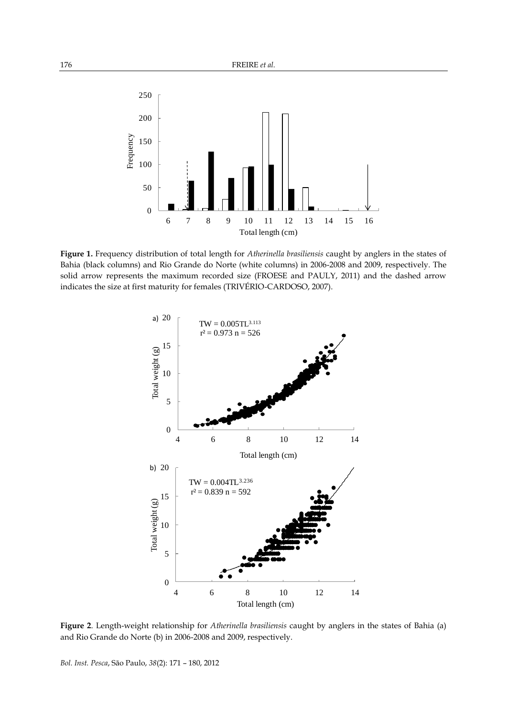

**Figure 1.** Frequency distribution of total length for *Atherinella brasiliensis* caught by anglers in the states of Bahia (black columns) and Rio Grande do Norte (white columns) in 2006-2008 and 2009, respectively. The solid arrow represents the maximum recorded size (FROESE and PAULY, 2011) and the dashed arrow indicates the size at first maturity for females (TRIVÉRIO-CARDOSO, 2007).



**Figure 2**. Length-weight relationship for *Atherinella brasiliensis* caught by anglers in the states of Bahia (a) and Rio Grande do Norte (b) in 2006-2008 and 2009, respectively.

*Bol. Inst. Pesca*, São Paulo, *38*(2): 171 – 180, 2012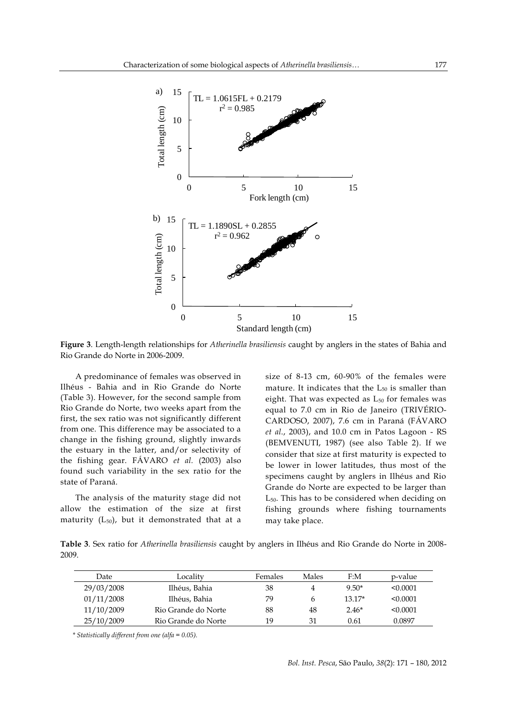

**Figure 3**. Length-length relationships for *Atherinella brasiliensis* caught by anglers in the states of Bahia and Rio Grande do Norte in 2006-2009.

A predominance of females was observed in Ilhéus - Bahia and in Rio Grande do Norte (Table 3). However, for the second sample from Rio Grande do Norte, two weeks apart from the first, the sex ratio was not significantly different from one. This difference may be associated to a change in the fishing ground, slightly inwards the estuary in the latter, and/or selectivity of the fishing gear. FÁVARO *et al.* (2003) also found such variability in the sex ratio for the state of Paraná.

The analysis of the maturity stage did not allow the estimation of the size at first maturity  $(L_{50})$ , but it demonstrated that at a size of 8-13 cm, 60-90% of the females were mature. It indicates that the  $L_{50}$  is smaller than eight. That was expected as  $L_{50}$  for females was equal to 7.0 cm in Rio de Janeiro (TRIVÉRIO-CARDOSO, 2007), 7.6 cm in Paraná (FÁVARO *et al*., 2003), and 10.0 cm in Patos Lagoon - RS (BEMVENUTI, 1987) (see also Table 2). If we consider that size at first maturity is expected to be lower in lower latitudes, thus most of the specimens caught by anglers in Ilhéus and Rio Grande do Norte are expected to be larger than L50. This has to be considered when deciding on fishing grounds where fishing tournaments may take place.

**Table 3**. Sex ratio for *Atherinella brasiliensis* caught by anglers in Ilhéus and Rio Grande do Norte in 2008- 2009.

| Date       | Localitv            | Females | Males | F:M      | p-value  |
|------------|---------------------|---------|-------|----------|----------|
| 29/03/2008 | Ilhéus, Bahia       | 38      | 4     | $9.50*$  | < 0.0001 |
| 01/11/2008 | Ilhéus, Bahia       | 79      | h     | $13.17*$ | < 0.0001 |
| 11/10/2009 | Rio Grande do Norte | 88      | 48    | $2.46*$  | < 0.0001 |
| 25/10/2009 | Rio Grande do Norte | 19      | 31    | 0.61     | 0.0897   |

*\* Statistically different from one (alfa = 0.05).*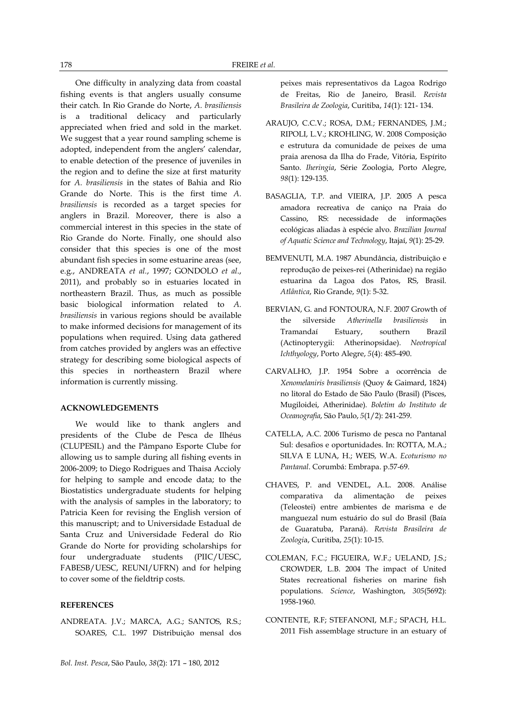One difficulty in analyzing data from coastal fishing events is that anglers usually consume their catch*.* In Rio Grande do Norte, *A. brasiliensis* is a traditional delicacy and particularly appreciated when fried and sold in the market. We suggest that a year round sampling scheme is adopted, independent from the anglers' calendar, to enable detection of the presence of juveniles in the region and to define the size at first maturity for *A. brasiliensis* in the states of Bahia and Rio Grande do Norte. This is the first time *A. brasiliensis* is recorded as a target species for anglers in Brazil. Moreover, there is also a commercial interest in this species in the state of Rio Grande do Norte. Finally, one should also consider that this species is one of the most abundant fish species in some estuarine areas (see, e.g., ANDREATA *et al.*, 1997; GONDOLO *et al*., 2011), and probably so in estuaries located in northeastern Brazil. Thus, as much as possible basic biological information related to *A. brasiliensis* in various regions should be available to make informed decisions for management of its populations when required. Using data gathered from catches provided by anglers was an effective strategy for describing some biological aspects of this species in northeastern Brazil where information is currently missing.

### **ACKNOWLEDGEMENTS**

We would like to thank anglers and presidents of the Clube de Pesca de Ilhéus (CLUPESIL) and the Pâmpano Esporte Clube for allowing us to sample during all fishing events in 2006-2009; to Diego Rodrigues and Thaisa Accioly for helping to sample and encode data; to the Biostatistics undergraduate students for helping with the analysis of samples in the laboratory; to Patricia Keen for revising the English version of this manuscript; and to Universidade Estadual de Santa Cruz and Universidade Federal do Rio Grande do Norte for providing scholarships for four undergraduate students (PIIC/UESC, FABESB/UESC, REUNI/UFRN) and for helping to cover some of the fieldtrip costs.

#### **REFERENCES**

ANDREATA. J.V.; MARCA, A.G.; SANTOS, R.S.; SOARES, C.L. 1997 Distribuição mensal dos peixes mais representativos da Lagoa Rodrigo de Freitas, Rio de Janeiro, Brasil. *Revista Brasileira de Zoologia*, Curitiba, *14*(1): 121- 134.

- ARAUJO, C.C.V.; ROSA, D.M.; FERNANDES, J.M.; RIPOLI, L.V.; KROHLING, W. 2008 Composição e estrutura da comunidade de peixes de uma praia arenosa da Ilha do Frade, Vitória, Espírito Santo. *Iheringia*, Série Zoologia, Porto Alegre, *98*(1): 129-135.
- BASAGLIA, T.P. and VIEIRA, J.P. 2005 A pesca amadora recreativa de caniço na Praia do Cassino, RS: necessidade de informações ecológicas aliadas à espécie alvo. *Brazilian Journal of Aquatic Science and Technology*, Itajaí, *9*(1): 25-29.
- BEMVENUTI, M.A. 1987 Abundância, distribuição e reprodução de peixes-rei (Atherinidae) na região estuarina da Lagoa dos Patos, RS, Brasil. *Atlântica*, Rio Grande, *9*(1): 5-32.
- BERVIAN, G. and FONTOURA, N.F. 2007 Growth of the silverside *Atherinella brasiliensis* in Tramandaí Estuary, southern Brazil (Actinopterygii: Atherinopsidae). *Neotropical Ichthyology*, Porto Alegre, *5*(4): 485-490.
- CARVALHO, J.P. 1954 Sobre a ocorrência de *Xenomelaniris brasiliensis* (Quoy & Gaimard, 1824) no litoral do Estado de São Paulo (Brasil) (Pisces, Mugiloidei, Atherinidae). *Boletim do Instituto de Oceanografia*, São Paulo, *5*(1/2): 241-259.
- CATELLA, A.C. 2006 Turismo de pesca no Pantanal Sul: desafios e oportunidades. In: ROTTA, M.A.; SILVA E LUNA, H.; WEIS, W.A. *Ecoturismo no Pantanal*. Corumbá: Embrapa. p.57-69.
- CHAVES, P. and VENDEL, A.L. 2008. Análise comparativa da alimentação de peixes (Teleostei) entre ambientes de marisma e de manguezal num estuário do sul do Brasil (Baía de Guaratuba, Paraná). *Revista Brasileira de Zoologi*a, Curitiba, *25*(1): 10-15.
- COLEMAN, F.C.; FIGUEIRA, W.F.; UELAND, J.S.; CROWDER, L.B. 2004 The impact of United States recreational fisheries on marine fish populations. *Science*, Washington, *305*(5692): 1958-1960.
- CONTENTE, R.F; STEFANONI, M.F.; SPACH, H.L. 2011 Fish assemblage structure in an estuary of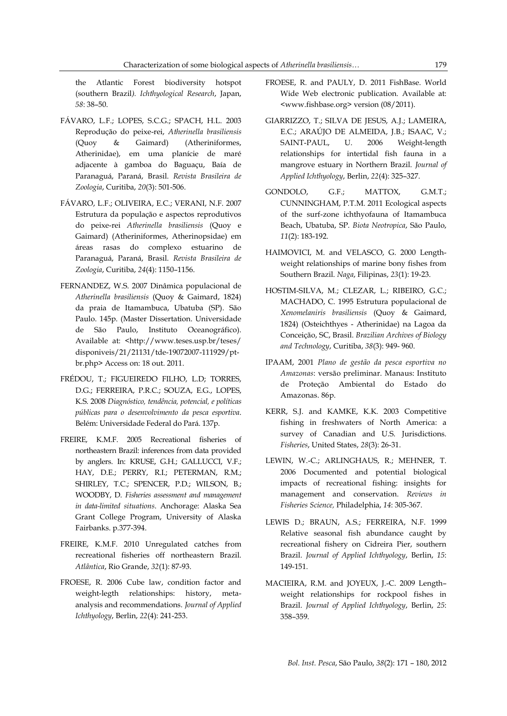the Atlantic Forest biodiversity hotspot (southern Brazil*). Ichthyological Research*, Japan, *58*: 38–50.

- FÁVARO, L.F.; LOPES, S.C.G.; SPACH, H.L. 2003 Reprodução do peixe-rei, *Atherinella brasiliensis* (Quoy & Gaimard) (Atheriniformes, Atherinidae), em uma planície de maré adjacente à gamboa do Baguaçu, Baía de Paranaguá, Paraná, Brasil. *Revista Brasileira de Zoologia*, Curitiba, *20*(3): 501-506.
- FÁVARO, L.F.; OLIVEIRA, E.C.; VERANI, N.F. 2007 Estrutura da população e aspectos reprodutivos do peixe-rei *Atherinella brasiliensis* (Quoy e Gaimard) (Atheriniformes, Atherinopsidae) em áreas rasas do complexo estuarino de Paranaguá, Paraná, Brasil. *Revista Brasileira de Zoologia*, Curitiba, *24*(4): 1150–1156.
- FERNANDEZ, W.S. 2007 Dinâmica populacional de *Atherinella brasiliensis* (Quoy & Gaimard, 1824) da praia de Itamambuca, Ubatuba (SP). São Paulo. 145p. (Master Dissertation. Universidade de São Paulo, Instituto Oceanográfico). Available at: <http://www.teses.usp.br/teses/ disponiveis/21/21131/tde-19072007-111929/ptbr.php> Access on: 18 out. 2011.
- FRÉDOU, T.; FIGUEIREDO FILHO, L.D; TORRES, D.G.; FERREIRA, P.R.C.; SOUZA, E.G., LOPES, K.S. 2008 *Diagnóstico, tendência, potencial, e políticas públicas para o desenvolvimento da pesca esportiva*. Belém: Universidade Federal do Pará. 137p.
- FREIRE, K.M.F. 2005 Recreational fisheries of northeastern Brazil: inferences from data provided by anglers. In: KRUSE, G.H.; GALLUCCI, V.F.; HAY, D.E.; PERRY, R.I.; PETERMAN, R.M.; SHIRLEY, T.C.; SPENCER, P.D.; WILSON, B.; WOODBY, D. *Fisheries assessment and management in data-limited situations*. Anchorage: Alaska Sea Grant College Program, University of Alaska Fairbanks. p.377-394.
- FREIRE, K.M.F. 2010 Unregulated catches from recreational fisheries off northeastern Brazil. *Atlântica*, Rio Grande, *32*(1): 87-93.
- FROESE, R. 2006 Cube law, condition factor and weight-legth relationships: history, metaanalysis and recommendations. *Journal of Applied Ichthyology*, Berlin, *22*(4): 241-253.
- FROESE, R. and PAULY, D. 2011 FishBase. World Wide Web electronic publication. Available at: <www.fishbase.org> version (08/2011).
- GIARRIZZO, T.; SILVA DE JESUS, A.J.; LAMEIRA, E.C.; ARAÚJO DE ALMEIDA, J.B.; ISAAC, V.; SAINT-PAUL, U. 2006 Weight-length relationships for intertidal fish fauna in a mangrove estuary in Northern Brazil. *Journal of Applied Ichthyology*, Berlin, *22*(4): 325–327.
- GONDOLO, G.F.; MATTOX, G.M.T.; CUNNINGHAM, P.T.M. 2011 Ecological aspects of the surf-zone ichthyofauna of Itamambuca Beach, Ubatuba, SP. *Biota Neotropica*, São Paulo, *11*(2): 183-192.
- HAIMOVICI, M. and VELASCO, G. 2000 Lengthweight relationships of marine bony fishes from Southern Brazil. *Naga*, Filipinas, *23*(1): 19-23.
- HOSTIM-SILVA, M.; CLEZAR, L.; RIBEIRO, G.C.; MACHADO, C. 1995 Estrutura populacional de *Xenomelaniris brasiliensis* (Quoy & Gaimard, 1824) (Osteichthyes - Atherinidae) na Lagoa da Conceição, SC, Brasil. *Brazilian Archives of Biology and Technology*, Curitiba, *38*(3): 949- 960.
- IPAAM, 2001 *Plano de gestão da pesca esportiva no Amazonas*: versão preliminar. Manaus: Instituto de Proteção Ambiental do Estado do Amazonas. 86p.
- KERR, S.J. and KAMKE, K.K. 2003 Competitive fishing in freshwaters of North America: a survey of Canadian and U.S. Jurisdictions. *Fisheries*, United States, *28*(3): 26-31.
- LEWIN, W.-C.; ARLINGHAUS, R.; MEHNER, T. 2006 Documented and potential biological impacts of recreational fishing: insights for management and conservation. *Reviews in Fisheries Science,* Philadelphia, *14*: 305-367.
- LEWIS D.; BRAUN, A.S.; FERREIRA, N.F. 1999 Relative seasonal fish abundance caught by recreational fishery on Cidreira Pier, southern Brazil. *Journal of Applied Ichthyology*, Berlin, *15*: 149-151.
- MACIEIRA, R.M. and JOYEUX, J.-C. 2009 Length– weight relationships for rockpool fishes in Brazil. *Journal of Applied Ichthyology*, Berlin, *25*: 358–359.